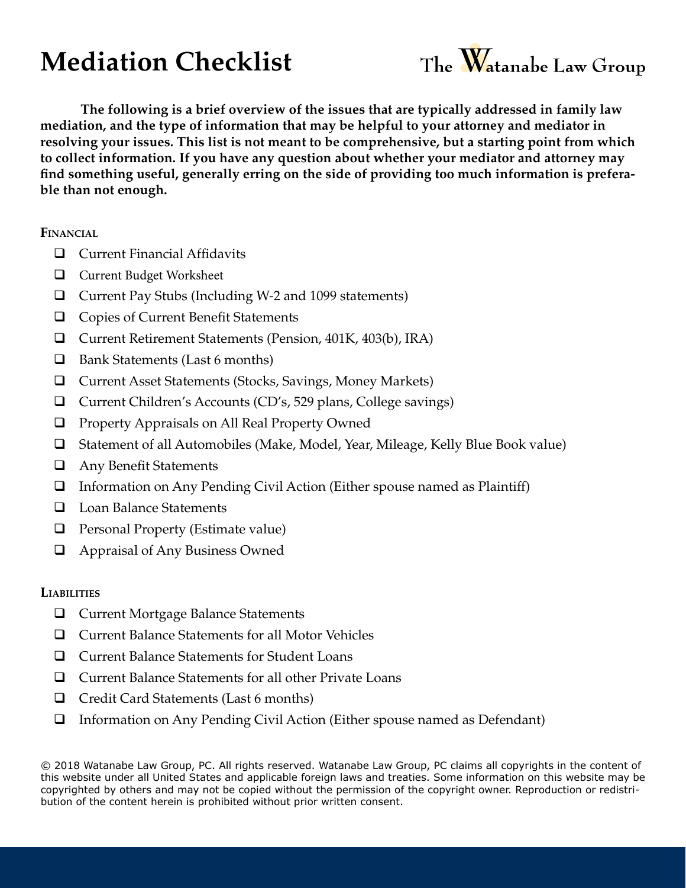## **Mediation Checklist**



**The following is a brief overview of the issues that are typically addressed in family law mediation, and the type of information that may be helpful to your attorney and mediator in resolving your issues. This list is not meant to be comprehensive, but a starting point from which to collect information. If you have any question about whether your mediator and attorney may find something useful, generally erring on the side of providing too much information is preferable than not enough.**

**Financial**

- $\Box$  Current Financial Affidavits
- **Q** Current Budget Worksheet
- $\Box$  Current Pay Stubs (Including W-2 and 1099 statements)
- $\Box$  Copies of Current Benefit Statements
- □ Current Retirement Statements (Pension, 401K, 403(b), IRA)
- $\Box$  Bank Statements (Last 6 months)
- □ Current Asset Statements (Stocks, Savings, Money Markets)
- □ Current Children's Accounts (CD's, 529 plans, College savings)
- **Q** Property Appraisals on All Real Property Owned
- $\Box$  Statement of all Automobiles (Make, Model, Year, Mileage, Kelly Blue Book value)
- **Q** Any Benefit Statements
- $\Box$  Information on Any Pending Civil Action (Either spouse named as Plaintiff)
- $\Box$  Loan Balance Statements
- $\Box$  Personal Property (Estimate value)
- $\Box$  Appraisal of Any Business Owned

## **Liabilities**

- **Q** Current Mortgage Balance Statements
- $\Box$  Current Balance Statements for all Motor Vehicles
- **□** Current Balance Statements for Student Loans
- $\Box$  Current Balance Statements for all other Private Loans
- $\Box$  Credit Card Statements (Last 6 months)
- $\Box$  Information on Any Pending Civil Action (Either spouse named as Defendant)

© 2018 Watanabe Law Group, PC. All rights reserved. Watanabe Law Group, PC claims all copyrights in the content of this website under all United States and applicable foreign laws and treaties. Some information on this website may be copyrighted by others and may not be copied without the permission of the copyright owner. Reproduction or redistribution of the content herein is prohibited without prior written consent.